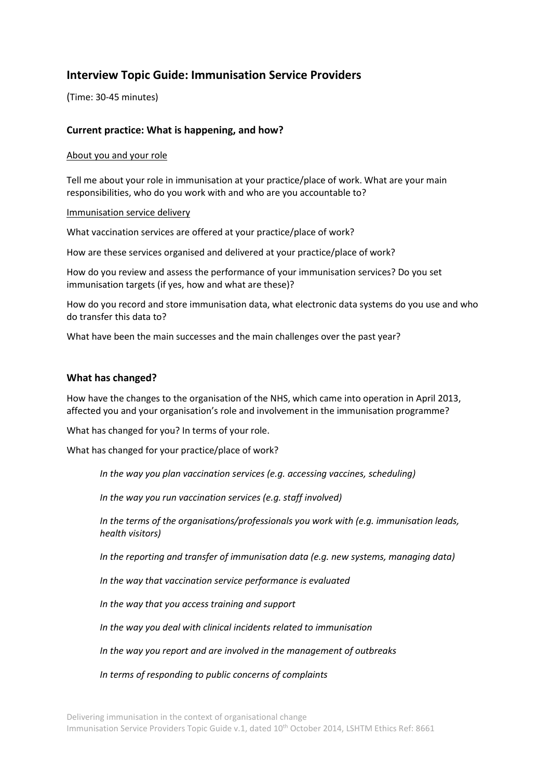# **Interview Topic Guide: Immunisation Service Providers**

(Time: 30-45 minutes)

# **Current practice: What is happening, and how?**

#### About you and your role

Tell me about your role in immunisation at your practice/place of work. What are your main responsibilities, who do you work with and who are you accountable to?

#### Immunisation service delivery

What vaccination services are offered at your practice/place of work?

How are these services organised and delivered at your practice/place of work?

How do you review and assess the performance of your immunisation services? Do you set immunisation targets (if yes, how and what are these)?

How do you record and store immunisation data, what electronic data systems do you use and who do transfer this data to?

What have been the main successes and the main challenges over the past year?

## **What has changed?**

How have the changes to the organisation of the NHS, which came into operation in April 2013, affected you and your organisation's role and involvement in the immunisation programme?

What has changed for you? In terms of your role.

What has changed for your practice/place of work?

*In the way you plan vaccination services (e.g. accessing vaccines, scheduling)*

*In the way you run vaccination services (e.g. staff involved)*

*In the terms of the organisations/professionals you work with (e.g. immunisation leads, health visitors)*

*In the reporting and transfer of immunisation data (e.g. new systems, managing data)*

*In the way that vaccination service performance is evaluated*

*In the way that you access training and support*

*In the way you deal with clinical incidents related to immunisation*

*In the way you report and are involved in the management of outbreaks*

*In terms of responding to public concerns of complaints*